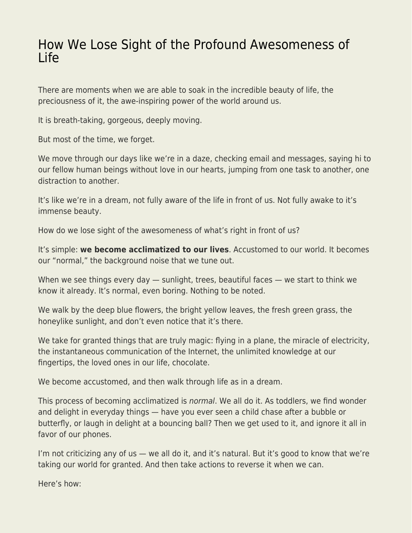## [How We Lose Sight of the Profound Awesomeness of](https://everything-voluntary.com/lose-sight-profound-awesomeness-life) [Life](https://everything-voluntary.com/lose-sight-profound-awesomeness-life)

There are moments when we are able to soak in the incredible beauty of life, the preciousness of it, the awe-inspiring power of the world around us.

It is breath-taking, gorgeous, deeply moving.

But most of the time, we forget.

We move through our days like we're in a daze, checking email and messages, saying hi to our fellow human beings without love in our hearts, jumping from one task to another, one distraction to another.

It's like we're in a dream, not fully aware of the life in front of us. Not fully awake to it's immense beauty.

How do we lose sight of the awesomeness of what's right in front of us?

It's simple: **we become acclimatized to our lives**. Accustomed to our world. It becomes our "normal," the background noise that we tune out.

When we see things every day — sunlight, trees, beautiful faces — we start to think we know it already. It's normal, even boring. Nothing to be noted.

We walk by the deep blue flowers, the bright yellow leaves, the fresh green grass, the honeylike sunlight, and don't even notice that it's there.

We take for granted things that are truly magic: flying in a plane, the miracle of electricity, the instantaneous communication of the Internet, the unlimited knowledge at our fingertips, the loved ones in our life, chocolate.

We become accustomed, and then walk through life as in a dream.

This process of becoming acclimatized is normal. We all do it. As toddlers, we find wonder and delight in everyday things — have you ever seen a child chase after a bubble or butterfly, or laugh in delight at a bouncing ball? Then we get used to it, and ignore it all in favor of our phones.

I'm not criticizing any of us — we all do it, and it's natural. But it's good to know that we're taking our world for granted. And then take actions to reverse it when we can.

Here's how: